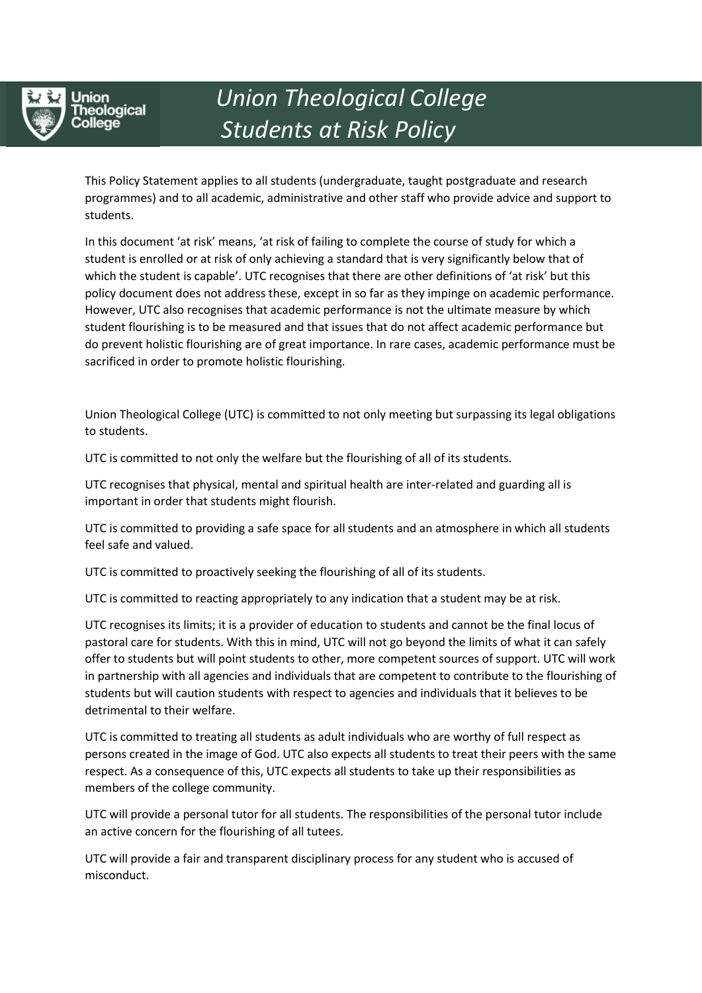

Union **reological** leae

## *Union Theological College Students at Risk Policy*

This Policy Statement applies to all students (undergraduate, taught postgraduate and research programmes) and to all academic, administrative and other staff who provide advice and support to students.

In this document 'at risk' means, 'at risk of failing to complete the course of study for which a student is enrolled or at risk of only achieving a standard that is very significantly below that of which the student is capable'. UTC recognises that there are other definitions of 'at risk' but this policy document does not address these, except in so far as they impinge on academic performance. However, UTC also recognises that academic performance is not the ultimate measure by which student flourishing is to be measured and that issues that do not affect academic performance but do prevent holistic flourishing are of great importance. In rare cases, academic performance must be sacrificed in order to promote holistic flourishing.

Union Theological College (UTC) is committed to not only meeting but surpassing its legal obligations to students.

UTC is committed to not only the welfare but the flourishing of all of its students.

UTC recognises that physical, mental and spiritual health are inter-related and guarding all is important in order that students might flourish.

UTC is committed to providing a safe space for all students and an atmosphere in which all students feel safe and valued.

UTC is committed to proactively seeking the flourishing of all of its students.

UTC is committed to reacting appropriately to any indication that a student may be at risk.

UTC recognises its limits; it is a provider of education to students and cannot be the final locus of pastoral care for students. With this in mind, UTC will not go beyond the limits of what it can safely offer to students but will point students to other, more competent sources of support. UTC will work in partnership with all agencies and individuals that are competent to contribute to the flourishing of students but will caution students with respect to agencies and individuals that it believes to be detrimental to their welfare.

UTC is committed to treating all students as adult individuals who are worthy of full respect as persons created in the image of God. UTC also expects all students to treat their peers with the same respect. As a consequence of this, UTC expects all students to take up their responsibilities as members of the college community.

UTC will provide a personal tutor for all students. The responsibilities of the personal tutor include an active concern for the flourishing of all tutees.

UTC will provide a fair and transparent disciplinary process for any student who is accused of misconduct.